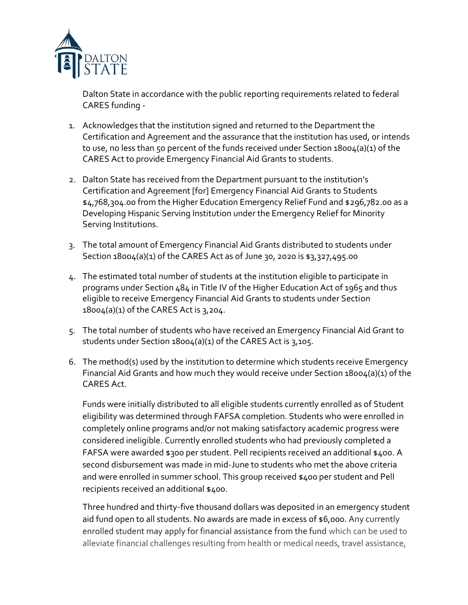

Dalton State in accordance with the public reporting requirements related to federal CARES funding -

- 1. Acknowledges that the institution signed and returned to the Department the Certification and Agreement and the assurance that the institution has used, or intends to use, no less than 50 percent of the funds received under Section 18004(a)(1) of the CARES Act to provide Emergency Financial Aid Grants to students.
- 2. Dalton State has received from the Department pursuant to the institution's Certification and Agreement [for] Emergency Financial Aid Grants to Students \$4,768,304.00 from the Higher Education Emergency Relief Fund and \$296,782.00 as a Developing Hispanic Serving Institution under the Emergency Relief for Minority Serving Institutions.
- 3. The total amount of Emergency Financial Aid Grants distributed to students under Section 18004(a)(1) of the CARES Act as of June 30, 2020 is \$3,327,495.00
- 4. The estimated total number of students at the institution eligible to participate in programs under Section 484 in Title IV of the Higher Education Act of 1965 and thus eligible to receive Emergency Financial Aid Grants to students under Section 18004(a)(1) of the CARES Act is 3,204.
- 5. The total number of students who have received an Emergency Financial Aid Grant to students under Section 18004(a)(1) of the CARES Act is 3,105.
- 6. The method(s) used by the institution to determine which students receive Emergency Financial Aid Grants and how much they would receive under Section 18004(a)(1) of the CARES Act.

Funds were initially distributed to all eligible students currently enrolled as of Student eligibility was determined through FAFSA completion. Students who were enrolled in completely online programs and/or not making satisfactory academic progress were considered ineligible. Currently enrolled students who had previously completed a FAFSA were awarded \$300 per student. Pell recipients received an additional \$400. A second disbursement was made in mid-June to students who met the above criteria and were enrolled in summer school. This group received \$400 per student and Pell recipients received an additional \$400.

Three hundred and thirty-five thousand dollars was deposited in an emergency student aid fund open to all students. No awards are made in excess of \$6,000. Any currently enrolled student may apply for financial assistance from the fund which can be used to alleviate financial challenges resulting from health or medical needs, travel assistance,